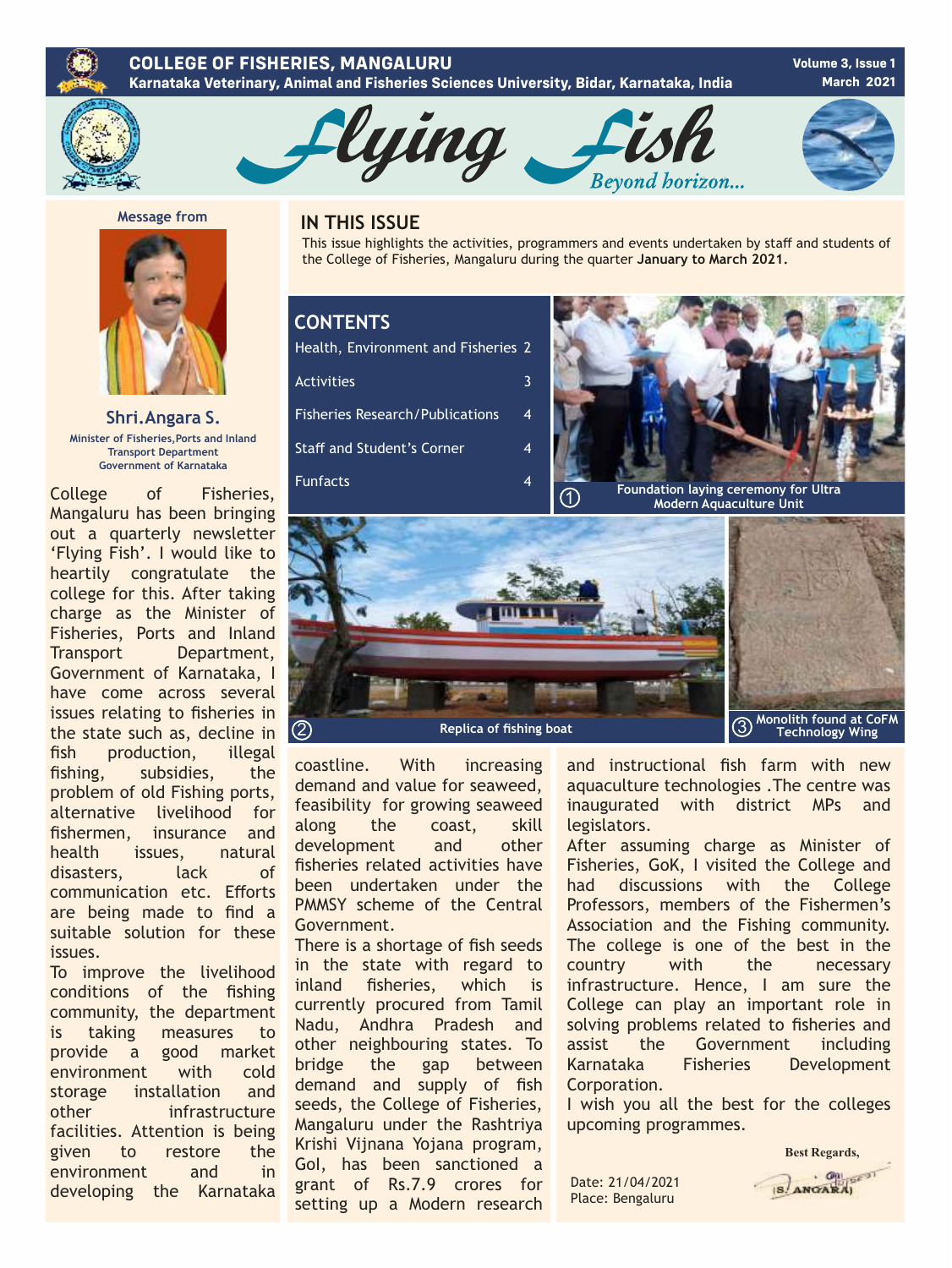#### **COLLEGE OF FISHERIES, MANGALURU Karnataka Veterinary, Animal and Fisheries Sciences University, Bidar, Karnataka, India**

**Volume 3, Issue 1 March 2021**



4

4

4

3



**Message from** 

**Shri.Angara S. Minister of Fisheries,Ports and Inland Transport Department Government of Karnataka**

College of Fisheries, Mangaluru has been bringing out a quarterly newsletter 'Flying Fish'. I would like to heartily congratulate the college for this. After taking charge as the Minister of Fisheries, Ports and Inland Transport Department, Government of Karnataka, I have come across several issues relating to fisheries in the state such as, decline in fish production, illegal fishing, subsidies, the problem of old Fishing ports, alternative livelihood for fishermen, insurance and health issues, natural disasters, lack of communication etc. Efforts are being made to find a suitable solution for these issues.

To improve the livelihood conditions of the fishing community, the department is taking measures to provide a good market environment with cold storage installation and other infrastructure facilities. Attention is being given to restore the environment and in developing the Karnataka

## **IN THIS ISSUE**

This issue highlights the activities, programmers and events undertaken by staff and students of the College of Fisheries, Mangaluru during the quarter **January to March 2021.** 

## **CONTENTS**

Health, Environment and Fisheries 2

**Activities** 

Fisheries Research/Publications Staff and Student's Corner

Funfacts





coastline. With increasing demand and value for seaweed, feasibility for growing seaweed along the coast, skill development and other fisheries related activities have been undertaken under the PMMSY scheme of the Central Government.

There is a shortage of fish seeds in the state with regard to inland fisheries, which is currently procured from Tamil Nadu, Andhra Pradesh and other neighbouring states. To bridge the gap between demand and supply of fish seeds, the College of Fisheries, Mangaluru under the Rashtriya Krishi Vijnana Yojana program, GoI, has been sanctioned a grant of Rs.7.9 crores for setting up a Modern research and instructional fish farm with new aquaculture technologies .The centre was inaugurated with district MPs and legislators.

After assuming charge as Minister of Fisheries, GoK, I visited the College and had discussions with the College Professors, members of the Fishermen's Association and the Fishing community. The college is one of the best in the country with the necessary infrastructure. Hence, I am sure the College can play an important role in solving problems related to fisheries and assist the Government including Karnataka Fisheries Development Corporation.

I wish you all the best for the colleges upcoming programmes.

Date: 21/04/2021 Place: Bengaluru

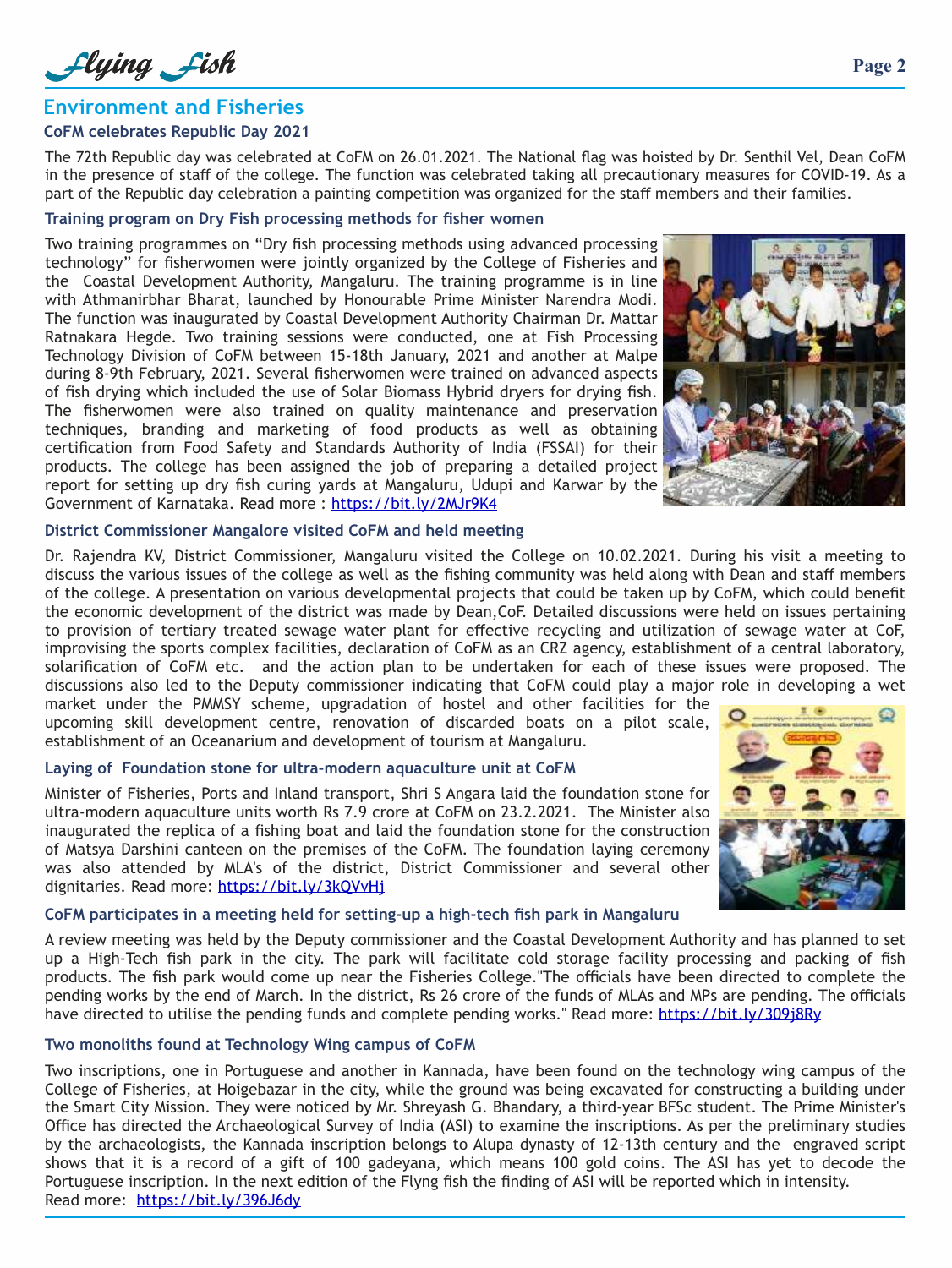Llying Lish

## **Environment and Fisheries**

#### **CoFM celebrates Republic Day 2021**

The 72th Republic day was celebrated at CoFM on 26.01.2021. The National flag was hoisted by Dr. Senthil Vel, Dean CoFM in the presence of staff of the college. The function was celebrated taking all precautionary measures for COVID-19. As a part of the Republic day celebration a painting competition was organized for the staff members and their families.

#### **Training program on Dry Fish processing methods for fisher women**

Two training programmes on "Dry fish processing methods using advanced processing technology" for fisherwomen were jointly organized by the College of Fisheries and the Coastal Development Authority, Mangaluru. The training programme is in line with Athmanirbhar Bharat, launched by Honourable Prime Minister Narendra Modi. The function was inaugurated by Coastal Development Authority Chairman Dr. Mattar Ratnakara Hegde. Two training sessions were conducted, one at Fish Processing Technology Division of CoFM between 15-18th January, 2021 and another at Malpe during 8-9th February, 2021. Several fisherwomen were trained on advanced aspects of fish drying which included the use of Solar Biomass Hybrid dryers for drying fish. The fisherwomen were also trained on quality maintenance and preservation techniques, branding and marketing of food products as well as obtaining certification from Food Safety and Standards Authority of India (FSSAI) for their products. The college has been assigned the job of preparing a detailed project report for setting up dry fish curing yards at Mangaluru, Udupi and Karwar by the Government of Karnataka. Read more : https://bit.ly/2MJr9K4



#### **District Commissioner Mangalore visited CoFM and held meeting**

Dr. Rajendra KV, District Commissioner, Mangaluru visited the College on 10.02.2021. During his visit a meeting to discuss the various issues of the college as well as the fishing community was held along with Dean and staff members of the college. A presentation on various developmental projects that could be taken up by CoFM, which could benefit the economic development of the district was made by Dean,CoF. Detailed discussions were held on issues pertaining to provision of tertiary treated sewage water plant for effective recycling and utilization of sewage water at CoF, improvising the sports complex facilities, declaration of CoFM as an CRZ agency, establishment of a central laboratory, solarification of CoFM etc. and the action plan to be undertaken for each of these issues were proposed. The discussions also led to the Deputy commissioner indicating that CoFM could play a major role in developing a wet

market under the PMMSY scheme, upgradation of hostel and other facilities for the upcoming skill development centre, renovation of discarded boats on a pilot scale, establishment of an Oceanarium and development of tourism at Mangaluru.

#### **Laying of Foundation stone for ultra-modern aquaculture unit at CoFM**

Minister of Fisheries, Ports and Inland transport, Shri S Angara laid the foundation stone for ultra-modern aquaculture units worth Rs 7.9 crore at CoFM on 23.2.2021. The Minister also inaugurated the replica of a fishing boat and laid the foundation stone for the construction of Matsya Darshini canteen on the premises of the CoFM. The foundation laying ceremony was also attended by MLA's of the district, District Commissioner and several other dignitaries. Read more: https://bit.ly/3kOVvHi



## **CoFM participates in a meeting held for setting-up a high-tech fish park in Mangaluru**

A review meeting was held by the Deputy commissioner and the Coastal Development Authority and has planned to set up a High-Tech fish park in the city. The park will facilitate cold storage facility processing and packing of fish products. The fish park would come up near the Fisheries College."The officials have been directed to complete the pending works by the end of March. In the district, Rs 26 crore of the funds of MLAs and MPs are pending. The officials have directed to utilise the pending funds and complete pending works." Read more: https://bit.ly/309j8Ry

#### **Two monoliths found at Technology Wing campus of CoFM**

Two inscriptions, one in Portuguese and another in Kannada, have been found on the technology wing campus of the College of Fisheries, at Hoigebazar in the city, while the ground was being excavated for constructing a building under the Smart City Mission. They were noticed by Mr. Shreyash G. Bhandary, a third-year BFSc student. The Prime Minister's Office has directed the Archaeological Survey of India (ASI) to examine the inscriptions. As per the preliminary studies by the archaeologists, the Kannada inscription belongs to Alupa dynasty of 12-13th century and the engraved script shows that it is a record of a gift of 100 gadeyana, which means 100 gold coins. The ASI has yet to decode the Portuguese inscription. In the next edition of the Flyng fish the finding of ASI will be reported which in intensity. Read more: https://bit.ly/396J6dy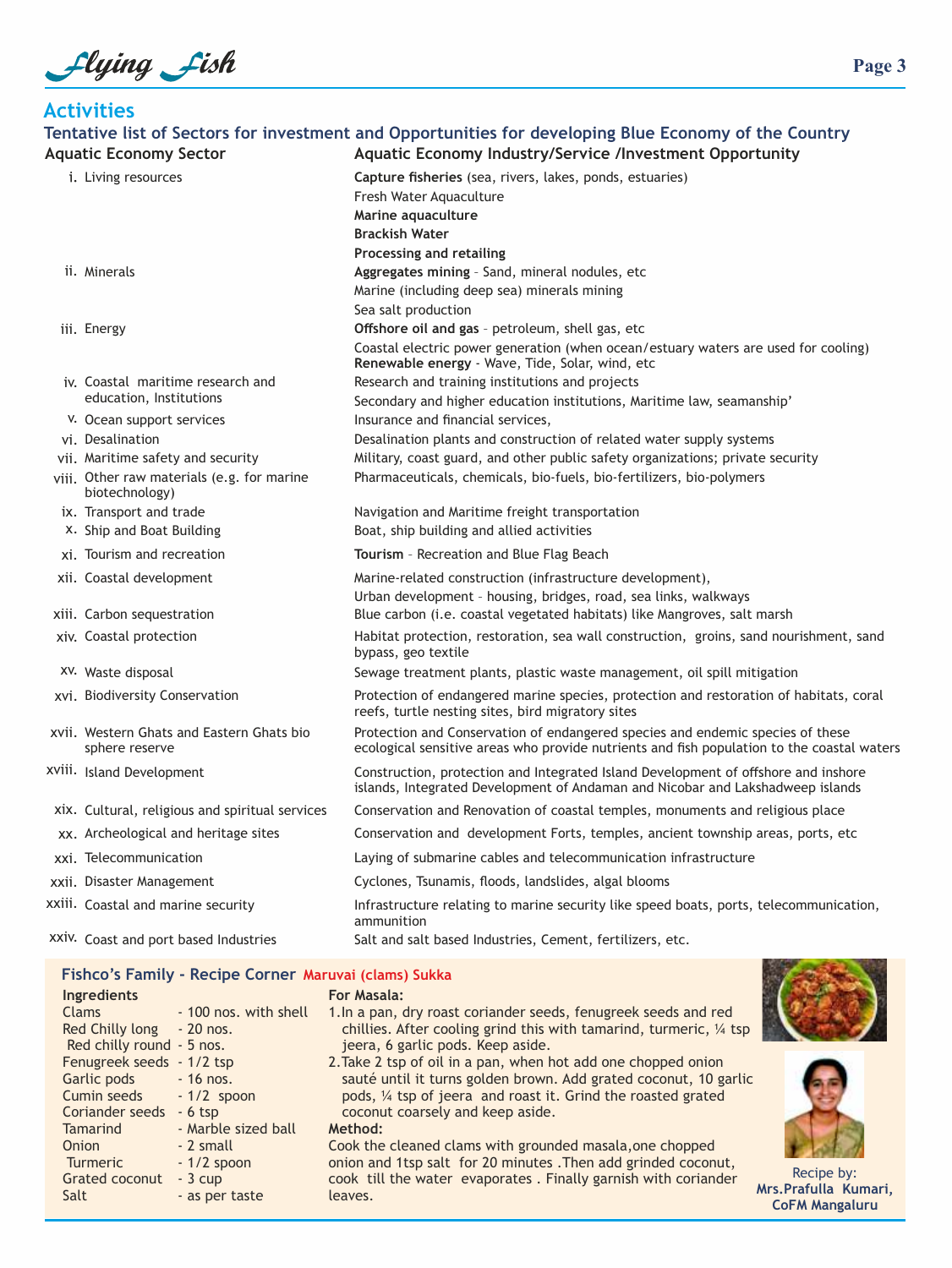Llying Lish

**Tentative list of Sectors for investment and Opportunities for developing Blue Economy of the Country Activities** ii. Minerals iii. Energy iv. Coastal maritime research and v. Ocean support services vi. Desalination vii. Maritime safety and security viii. Other raw materials (e.g. for marine i. Living resources education, Institutions biotechnology) **Capture fisheries** (sea, rivers, lakes, ponds, estuaries) Fresh Water Aquaculture **Processing and retailing Brackish Water Marine aquaculture Aggregates mining** – Sand, mineral nodules, etc Sea salt production Marine (including deep sea) minerals mining Coastal electric power generation (when ocean/estuary waters are used for cooling) **Renewable energy** - Wave, Tide, Solar, wind, etc **Offshore oil and gas** – petroleum, shell gas, etc Research and training institutions and projects Secondary and higher education institutions, Maritime law, seamanship' Insurance and financial services, Desalination plants and construction of related water supply systems Military, coast guard, and other public safety organizations; private security Pharmaceuticals, chemicals, bio-fuels, bio-fertilizers, bio-polymers ix. Transport and trade Theory is no entity and Maritime freight transportation x. Ship and Boat Building Boat, ship building and allied activities xi. Tourism and recreation **Tourism** – Recreation and Blue Flag Beach xii. Coastal development Urban development – housing, bridges, road, sea links, walkways Marine-related construction (infrastructure development), xiii. Carbon sequestration Blue carbon (i.e. coastal vegetated habitats) like Mangroves, salt marsh xiv. Coastal protection Habitat protection, restoration, sea wall construction, groins, sand nourishment, sand bypass, geo textile xv. Waste disposal Sewage treatment plants, plastic waste management, oil spill mitigation xvi. Biodiversity Conservation Protection of endangered marine species, protection and restoration of habitats, coral reefs, turtle nesting sites, bird migratory sites xvii. Western Ghats and Eastern Ghats bio sphere reserve Protection and Conservation of endangered species and endemic species of these ecological sensitive areas who provide nutrients and fish population to the coastal waters xviii. Island Development Construction, protection and Integrated Island Development of offshore and inshore islands, Integrated Development of Andaman and Nicobar and Lakshadweep islands xix. Cultural, religious and spiritual services Conservation and Renovation of coastal temples, monuments and religious place xx. Archeological and heritage sites Conservation and development Forts, temples, ancient township areas, ports, etc xxi. Telecommunication Laying of submarine cables and telecommunication infrastructure xxii. Disaster Management Cyclones, Tsunamis, floods, landslides, algal blooms xxiii. Coastal and marine security **Infrastructure relating to marine security** like speed boats, ports, telecommunication, ammunition xxiv. Coast and port based Industries Salt and salt based Industries, Cement, fertilizers, etc. **Aquatic Economy Sector Aquatic Economy Industry/Service /Investment Opportunity**

#### **Fishco's Family - Recipe Corner Maruvai (clams) Sukka**

| Ingredients               |                       |
|---------------------------|-----------------------|
| Clams                     | - 100 nos, with shell |
| Red Chilly long           | $-20$ nos.            |
| Red chilly round - 5 nos. |                       |
| Fenugreek seeds           | $-1/2$ tsp            |
| Garlic pods               | $-16$ nos.            |
| Cumin seeds               | $-1/2$ spoon          |
| Coriander seeds           | $-6$ tsp              |
| <b>Tamarind</b>           | - Marble sized ball   |
| Onion                     | - 2 small             |
| <b>Turmeric</b>           | $-1/2$ spoon          |
| Grated coconut            | $-3$ cup              |
| Salt                      | - as per taste        |
|                           |                       |

1.In a pan, dry roast coriander seeds, fenugreek seeds and red chillies. After cooling grind this with tamarind, turmeric, ¼ tsp jeera, 6 garlic pods. Keep aside. 2.Take 2 tsp of oil in a pan, when hot add one chopped onion

sauté until it turns golden brown. Add grated coconut, 10 garlic pods, ¼ tsp of jeera and roast it. Grind the roasted grated coconut coarsely and keep aside.

**Method:**

**For Masala:**

Cook the cleaned clams with grounded masala,one chopped onion and 1tsp salt for 20 minutes .Then add grinded coconut, cook till the water evaporates . Finally garnish with coriander leaves.





Recipe by: **Mrs.Prafulla Kumari, CoFM Mangaluru**